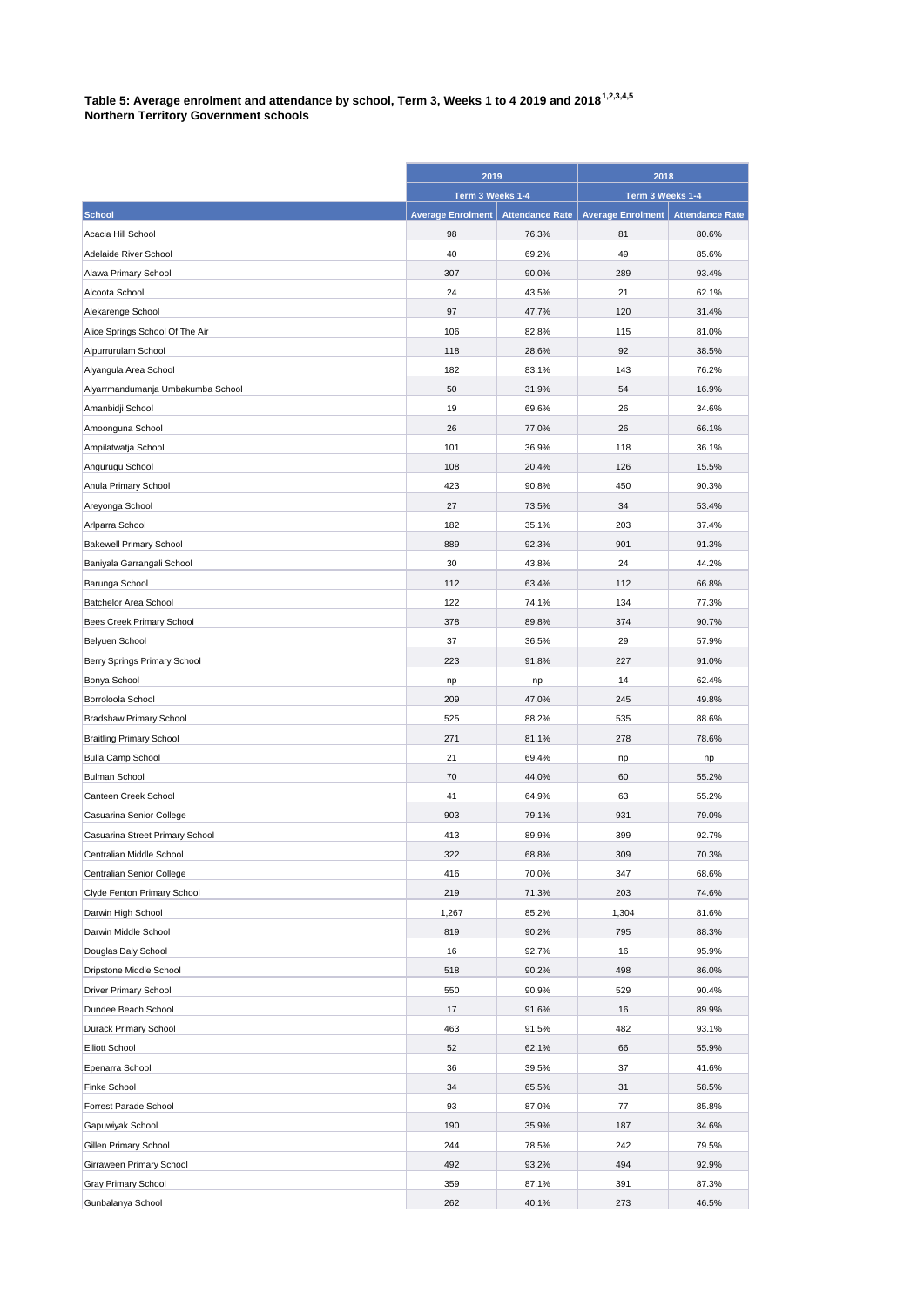## **Table 5: Average enrolment and attendance by school, Term 3, Weeks 1 to 4 2019 and 20181,2,3,4,5 Northern Territory Government schools**

|                                   | 2019<br>Term 3 Weeks 1-4 |                        | 2018<br>Term 3 Weeks 1-4 |                        |
|-----------------------------------|--------------------------|------------------------|--------------------------|------------------------|
|                                   |                          |                        |                          |                        |
| <b>School</b>                     | <b>Average Enrolment</b> | <b>Attendance Rate</b> | <b>Average Enrolment</b> | <b>Attendance Rate</b> |
| Acacia Hill School                | 98                       | 76.3%                  | 81                       | 80.6%                  |
| Adelaide River School             | 40                       | 69.2%                  | 49                       | 85.6%                  |
| Alawa Primary School              | 307                      | 90.0%                  | 289                      | 93.4%                  |
| Alcoota School                    | 24                       | 43.5%                  | 21                       | 62.1%                  |
| Alekarenge School                 | 97                       | 47.7%                  | 120                      | 31.4%                  |
| Alice Springs School Of The Air   | 106                      | 82.8%                  | 115                      | 81.0%                  |
| Alpurrurulam School               | 118                      | 28.6%                  | 92                       | 38.5%                  |
| Alyangula Area School             | 182                      | 83.1%                  | 143                      | 76.2%                  |
| Alyarrmandumanja Umbakumba School | 50                       | 31.9%                  | 54                       | 16.9%                  |
| Amanbidji School                  | 19                       | 69.6%                  | 26                       | 34.6%                  |
| Amoonguna School                  | 26                       | 77.0%                  | 26                       | 66.1%                  |
| Ampilatwatja School               | 101                      | 36.9%                  | 118                      | 36.1%                  |
| Angurugu School                   | 108                      | 20.4%                  | 126                      | 15.5%                  |
| Anula Primary School              | 423                      | 90.8%                  | 450                      | 90.3%                  |
| Areyonga School                   | 27                       | 73.5%                  | 34                       | 53.4%                  |
| Arlparra School                   | 182                      | 35.1%                  | 203                      | 37.4%                  |
| <b>Bakewell Primary School</b>    | 889                      | 92.3%                  | 901                      | 91.3%                  |
| Baniyala Garrangali School        | 30                       | 43.8%                  | 24                       | 44.2%                  |
| Barunga School                    | 112                      | 63.4%                  | 112                      | 66.8%                  |
| Batchelor Area School             | 122                      | 74.1%                  | 134                      | 77.3%                  |
| Bees Creek Primary School         | 378                      | 89.8%                  | 374                      | 90.7%                  |
| Belyuen School                    | 37                       | 36.5%                  | 29                       | 57.9%                  |
| Berry Springs Primary School      | 223                      | 91.8%                  | 227                      | 91.0%                  |
| Bonya School                      | np                       | np                     | 14                       | 62.4%                  |
| Borroloola School                 | 209                      | 47.0%                  | 245                      | 49.8%                  |
| <b>Bradshaw Primary School</b>    | 525                      | 88.2%                  | 535                      | 88.6%                  |
| <b>Braitling Primary School</b>   | 271                      | 81.1%                  | 278                      | 78.6%                  |
| <b>Bulla Camp School</b>          | 21                       | 69.4%                  | np                       | np                     |
| <b>Bulman School</b>              | 70                       | 44.0%                  | 60                       | 55.2%                  |
| Canteen Creek School              | 41                       | 64.9%                  | 63                       | 55.2%                  |
| Casuarina Senior College          | 903                      | 79.1%                  | 931                      | 79.0%                  |
| Casuarina Street Primary School   | 413                      | 89.9%                  | 399                      | 92.7%                  |
| Centralian Middle School          | 322                      | 68.8%                  | 309                      | 70.3%                  |
| Centralian Senior College         | 416                      | 70.0%                  | 347                      | 68.6%                  |
| Clyde Fenton Primary School       | 219                      | 71.3%                  | 203                      | 74.6%                  |
| Darwin High School                | 1,267                    | 85.2%                  | 1,304                    | 81.6%                  |
| Darwin Middle School              | 819                      | 90.2%                  | 795                      | 88.3%                  |
| Douglas Daly School               | 16                       | 92.7%                  | 16                       | 95.9%                  |
| Dripstone Middle School           | 518                      | 90.2%                  | 498                      | 86.0%                  |
| <b>Driver Primary School</b>      | 550                      | 90.9%                  | 529                      | 90.4%                  |
| Dundee Beach School               | 17                       | 91.6%                  | 16                       | 89.9%                  |
| Durack Primary School             | 463                      | 91.5%                  | 482                      | 93.1%                  |
| <b>Elliott School</b>             | 52                       | 62.1%                  | 66                       | 55.9%                  |
| Epenarra School                   | 36                       | 39.5%                  | 37                       | 41.6%                  |
| <b>Finke School</b>               | 34                       | 65.5%                  | 31                       | 58.5%                  |
| Forrest Parade School             | 93                       | 87.0%                  | 77                       | 85.8%                  |
| Gapuwiyak School                  | 190                      | 35.9%                  | 187                      | 34.6%                  |
| Gillen Primary School             | 244                      | 78.5%                  | 242                      | 79.5%                  |
| Girraween Primary School          | 492                      | 93.2%                  | 494                      | 92.9%                  |
| Gray Primary School               | 359                      | 87.1%                  | 391                      | 87.3%                  |
| Gunbalanya School                 | 262                      | 40.1%                  | 273                      | 46.5%                  |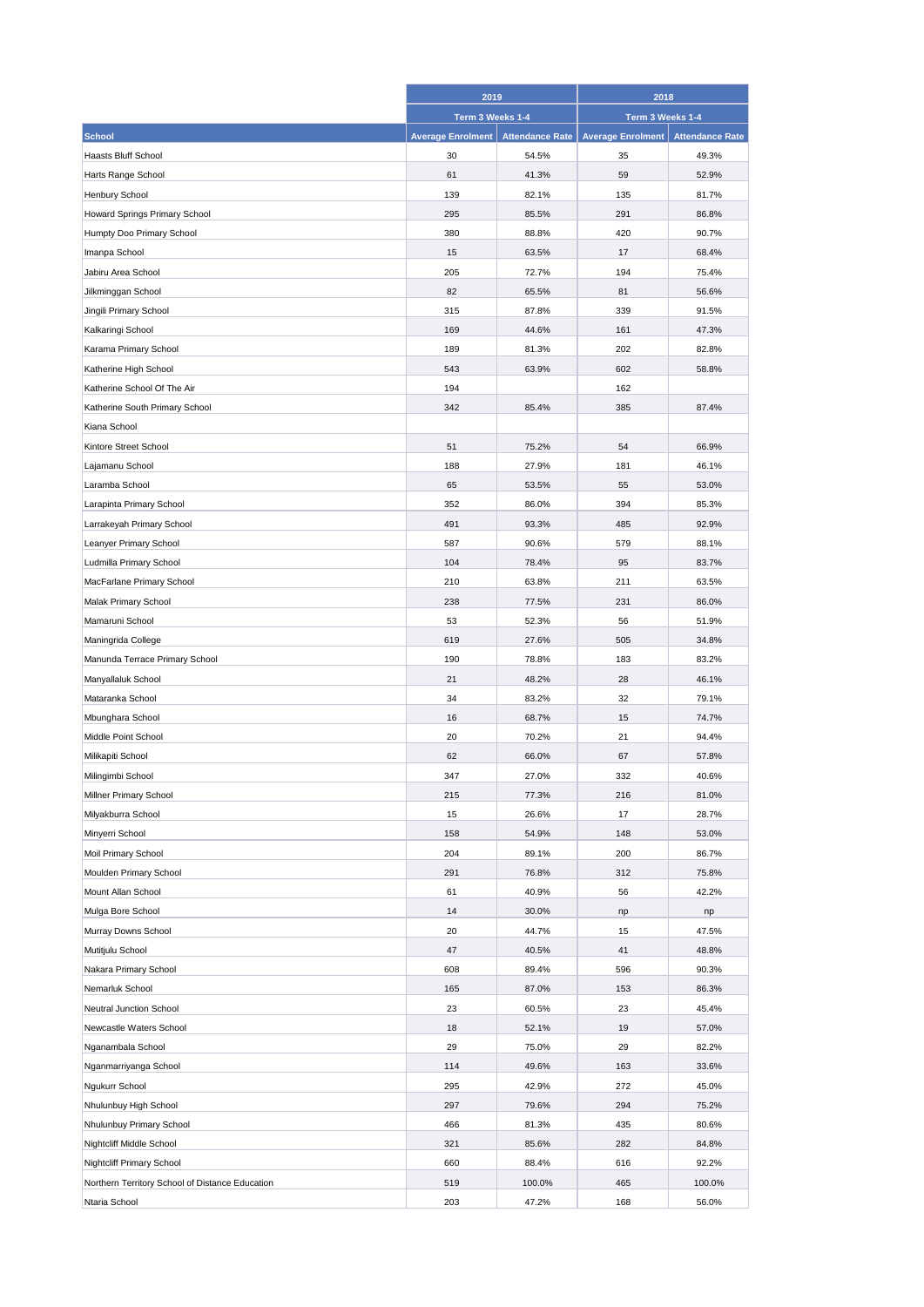|                                                 | 2019<br>Term 3 Weeks 1-4 |                        | 2018<br>Term 3 Weeks 1-4 |                        |
|-------------------------------------------------|--------------------------|------------------------|--------------------------|------------------------|
|                                                 |                          |                        |                          |                        |
| <b>School</b>                                   | <b>Average Enrolment</b> | <b>Attendance Rate</b> | <b>Average Enrolment</b> | <b>Attendance Rate</b> |
| <b>Haasts Bluff School</b>                      | 30                       | 54.5%                  | 35                       | 49.3%                  |
| Harts Range School                              | 61                       | 41.3%                  | 59                       | 52.9%                  |
| Henbury School                                  | 139                      | 82.1%                  | 135                      | 81.7%                  |
| Howard Springs Primary School                   | 295                      | 85.5%                  | 291                      | 86.8%                  |
| Humpty Doo Primary School                       | 380                      | 88.8%                  | 420                      | 90.7%                  |
| Imanpa School                                   | 15                       | 63.5%                  | 17                       | 68.4%                  |
| Jabiru Area School                              | 205                      | 72.7%                  | 194                      | 75.4%                  |
| Jilkminggan School                              | 82                       | 65.5%                  | 81                       | 56.6%                  |
|                                                 | 315                      |                        | 339                      |                        |
| Jingili Primary School                          |                          | 87.8%                  |                          | 91.5%                  |
| Kalkaringi School                               | 169                      | 44.6%                  | 161                      | 47.3%                  |
| Karama Primary School                           | 189                      | 81.3%                  | 202                      | 82.8%                  |
| Katherine High School                           | 543                      | 63.9%                  | 602                      | 58.8%                  |
| Katherine School Of The Air                     | 194                      |                        | 162                      |                        |
| Katherine South Primary School                  | 342                      | 85.4%                  | 385                      | 87.4%                  |
| Kiana School                                    |                          |                        |                          |                        |
| Kintore Street School                           | 51                       | 75.2%                  | 54                       | 66.9%                  |
| Lajamanu School                                 | 188                      | 27.9%                  | 181                      | 46.1%                  |
| Laramba School                                  | 65                       | 53.5%                  | 55                       | 53.0%                  |
| Larapinta Primary School                        | 352                      | 86.0%                  | 394                      | 85.3%                  |
| Larrakeyah Primary School                       | 491                      | 93.3%                  | 485                      | 92.9%                  |
| Leanyer Primary School                          | 587                      | 90.6%                  | 579                      | 88.1%                  |
| Ludmilla Primary School                         | 104                      | 78.4%                  | 95                       | 83.7%                  |
| MacFarlane Primary School                       | 210                      | 63.8%                  | 211                      | 63.5%                  |
| Malak Primary School                            | 238                      | 77.5%                  | 231                      | 86.0%                  |
| Mamaruni School                                 | 53                       | 52.3%                  | 56                       | 51.9%                  |
| Maningrida College                              | 619                      | 27.6%                  | 505                      | 34.8%                  |
| Manunda Terrace Primary School                  | 190                      | 78.8%                  | 183                      | 83.2%                  |
| Manyallaluk School                              | 21                       | 48.2%                  | 28                       | 46.1%                  |
| Mataranka School                                | 34                       | 83.2%                  | 32                       | 79.1%                  |
| Mbunghara School                                | 16                       | 68.7%                  | 15                       | 74.7%                  |
| Middle Point School                             | 20                       | 70.2%                  | 21                       | 94.4%                  |
| Milikapiti School                               | 62                       | 66.0%                  | 67                       | 57.8%                  |
| Milingimbi School                               | 347                      | 27.0%                  | 332                      | 40.6%                  |
| Millner Primary School                          | 215                      | 77.3%                  | 216                      | 81.0%                  |
| Milyakburra School                              | 15                       | 26.6%                  | 17                       | 28.7%                  |
| Minyerri School                                 | 158                      | 54.9%                  | 148                      | 53.0%                  |
| Moil Primary School                             | 204                      | 89.1%                  | 200                      | 86.7%                  |
| Moulden Primary School                          | 291                      | 76.8%                  | 312                      | 75.8%                  |
| Mount Allan School                              | 61                       | 40.9%                  | 56                       | 42.2%                  |
|                                                 | 14                       | 30.0%                  |                          |                        |
| Mulga Bore School                               | 20                       | 44.7%                  | np                       | np                     |
| Murray Downs School                             |                          |                        | 15                       | 47.5%                  |
| Mutitjulu School                                | 47                       | 40.5%                  | 41                       | 48.8%                  |
| Nakara Primary School                           | 608                      | 89.4%                  | 596                      | 90.3%                  |
| Nemarluk School                                 | 165                      | 87.0%                  | 153                      | 86.3%                  |
| Neutral Junction School                         | 23                       | 60.5%                  | 23                       | 45.4%                  |
| Newcastle Waters School                         | 18                       | 52.1%                  | 19                       | 57.0%                  |
| Nganambala School                               | 29                       | 75.0%                  | 29                       | 82.2%                  |
| Nganmarriyanga School                           | 114                      | 49.6%                  | 163                      | 33.6%                  |
| Ngukurr School                                  | 295                      | 42.9%                  | 272                      | 45.0%                  |
| Nhulunbuy High School                           | 297                      | 79.6%                  | 294                      | 75.2%                  |
| Nhulunbuy Primary School                        | 466                      | 81.3%                  | 435                      | 80.6%                  |
| Nightcliff Middle School                        | 321                      | 85.6%                  | 282                      | 84.8%                  |
| Nightcliff Primary School                       | 660                      | 88.4%                  | 616                      | 92.2%                  |
| Northern Territory School of Distance Education | 519                      | 100.0%                 | 465                      | 100.0%                 |
| Ntaria School                                   | 203                      | 47.2%                  | 168                      | 56.0%                  |